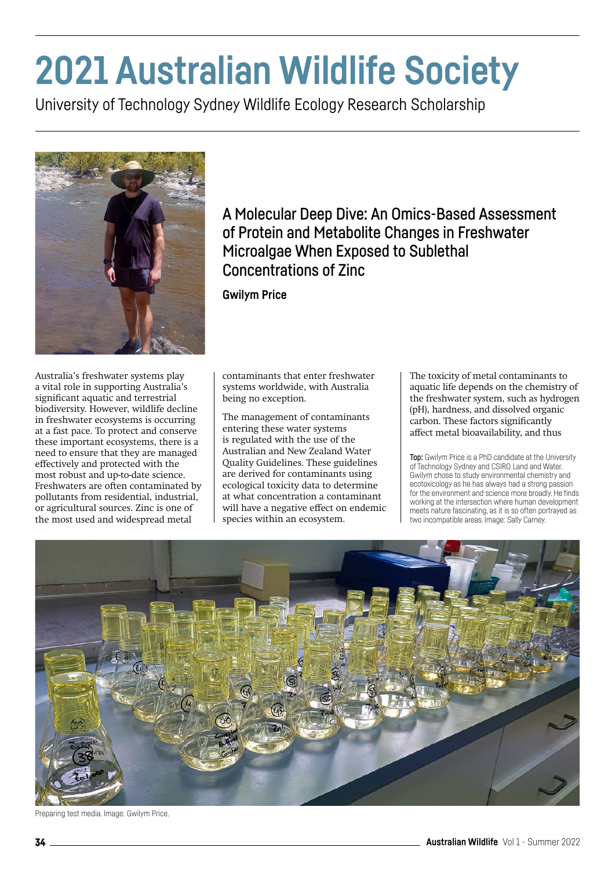## **2021 Australian Wildlife Society**

University of Technology Sydney Wildlife Ecology Research Scholarship



Australia's freshwater systems play a vital role in supporting Australia's significant aquatic and terrestrial biodiversity. However, wildlife decline in freshwater ecosystems is occurring at a fast pace. To protect and conserve these important ecosystems, there is a need to ensure that they are managed effectively and protected with the most robust and up-to-date science. Freshwaters are often contaminated by pollutants from residential, industrial, or agricultural sources. Zinc is one of the most used and widespread metal

## A Molecular Deep Dive: An Omics-Based Assessment of Protein and Metabolite Changes in Freshwater Microalgae When Exposed to Sublethal Concentrations of Zinc

**Gwilym Price**

contaminants that enter freshwater systems worldwide, with Australia being no exception.

The management of contaminants entering these water systems is regulated with the use of the Australian and New Zealand Water Quality Guidelines. These guidelines are derived for contaminants using ecological toxicity data to determine at what concentration a contaminant will have a negative effect on endemic species within an ecosystem.

The toxicity of metal contaminants to aquatic life depends on the chemistry of the freshwater system, such as hydrogen (pH), hardness, and dissolved organic carbon. These factors significantly affect metal bioavailability, and thus

Top: Gwilym Price is a PhD candidate at the University of Technology Sydney and CSIRO Land and Water. Gwilym chose to study environmental chemistry and ecotoxicology as he has always had a strong passion for the environment and science more broadly. He finds working at the intersection where human development meets nature fascinating, as it is so often portrayed as two incompatible areas. Image: Sally Carney.



Preparing test media. Image: Gwilym Price.